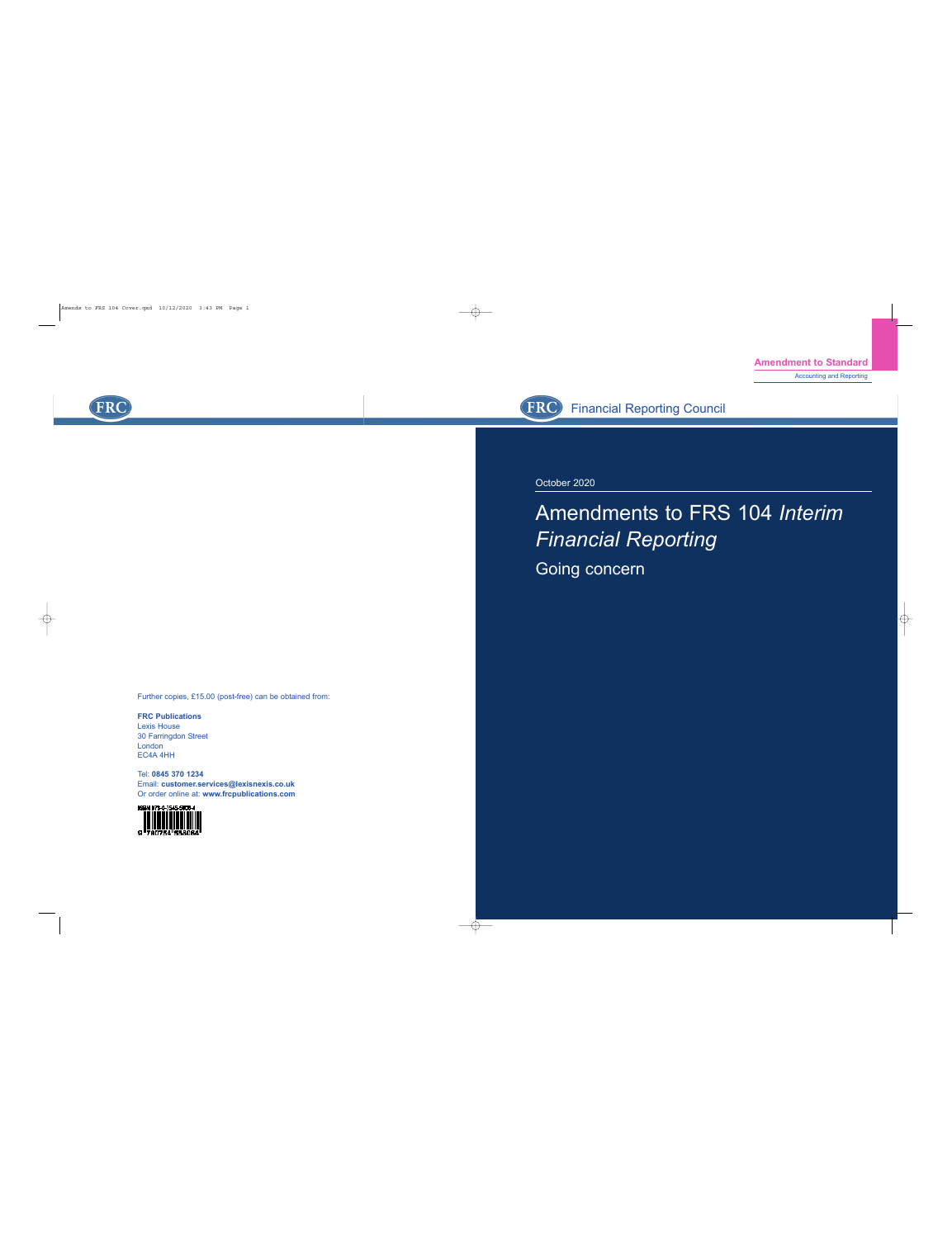

October 2020

# Amendments to FRS 104 *Interim Financial Reporting*

Going concern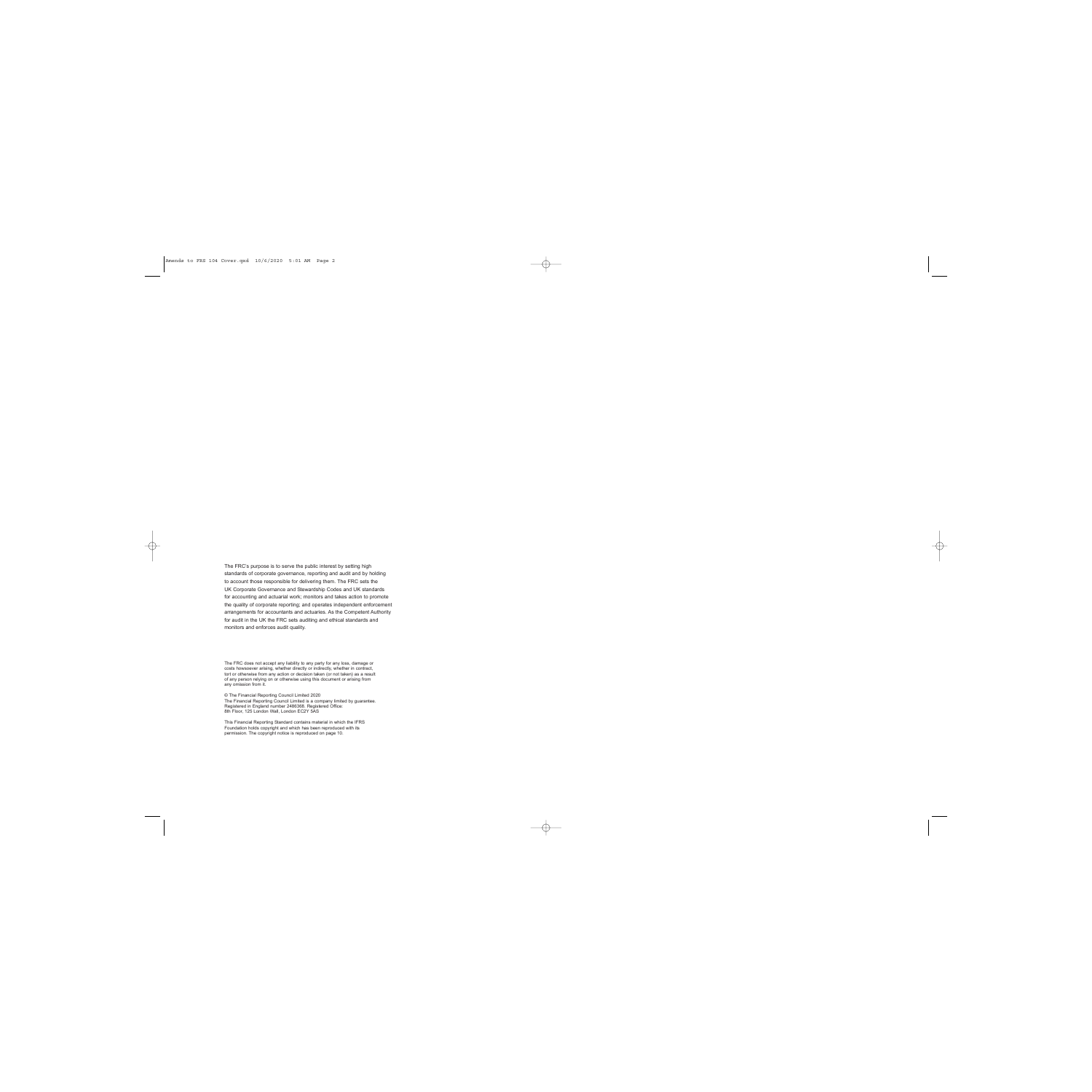The FRC's purpose is to serve the public interest by setting high standards of corporate governance, reporting and audit and by holding to account those responsible for delivering them. The FRC sets the UK Corporate Governance and Stewardship Codes and UK standards for accounting and actuarial work; monitors and takes action to promote the quality of corporate reporting; and operates independent enforcement arrangements for accountants and actuaries. As the Competent Authority for audit in the UK the FRC sets auditing and ethical standards and monitors and enforces audit quality.

The FRC does not accept any liability to any party for any loss, damage or costs howsoever arising, whether directly or indirectly, whether in contract, tort or otherwise from any action or decision taken (or not taken) as a result of any person relying on or otherwise using this document or arising from any omission from it.

© The Financial Reporting Council Limited 2020 The Financial Reporting Council Limited is a company limited by guarantee. Registered in England number 2486368. Registered Office: 8th Floor, 125 London Wall, London EC2Y 5AS

This Financial Reporting Standard contains material in which the IFRS Foundation holds copyright and which has been reproduced with its permission. The copyright notice is reproduced on page 10.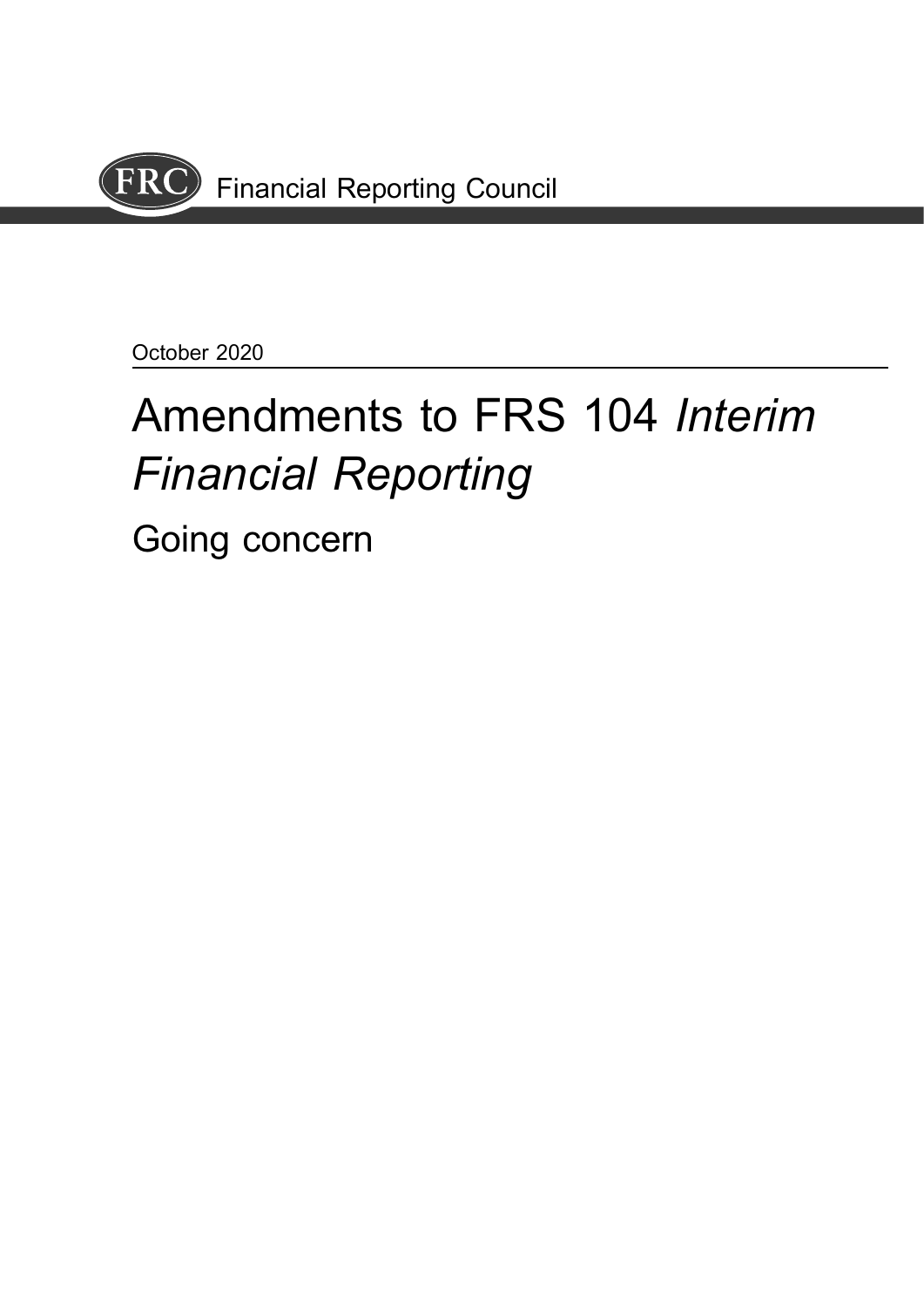

October 2020

# Amendments to FRS 104 Interim Financial Reporting

Going concern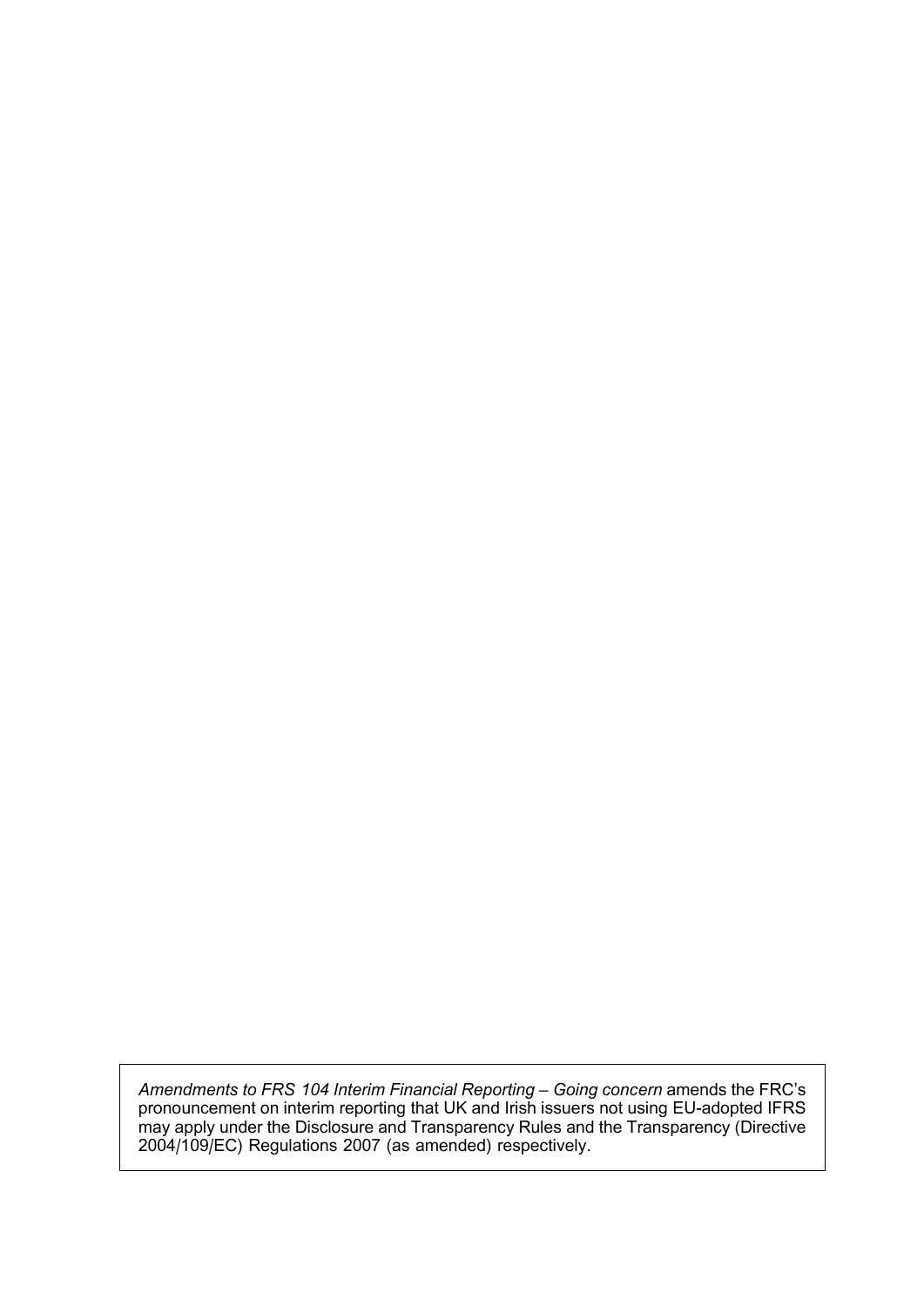Amendments to FRS 104 Interim Financial Reporting – Going concern amends the FRC's pronouncement on interim reporting that UK and Irish issuers not using EU-adopted IFRS may apply under the Disclosure and Transparency Rules and the Transparency (Directive 2004/109/EC) Regulations 2007 (as amended) respectively.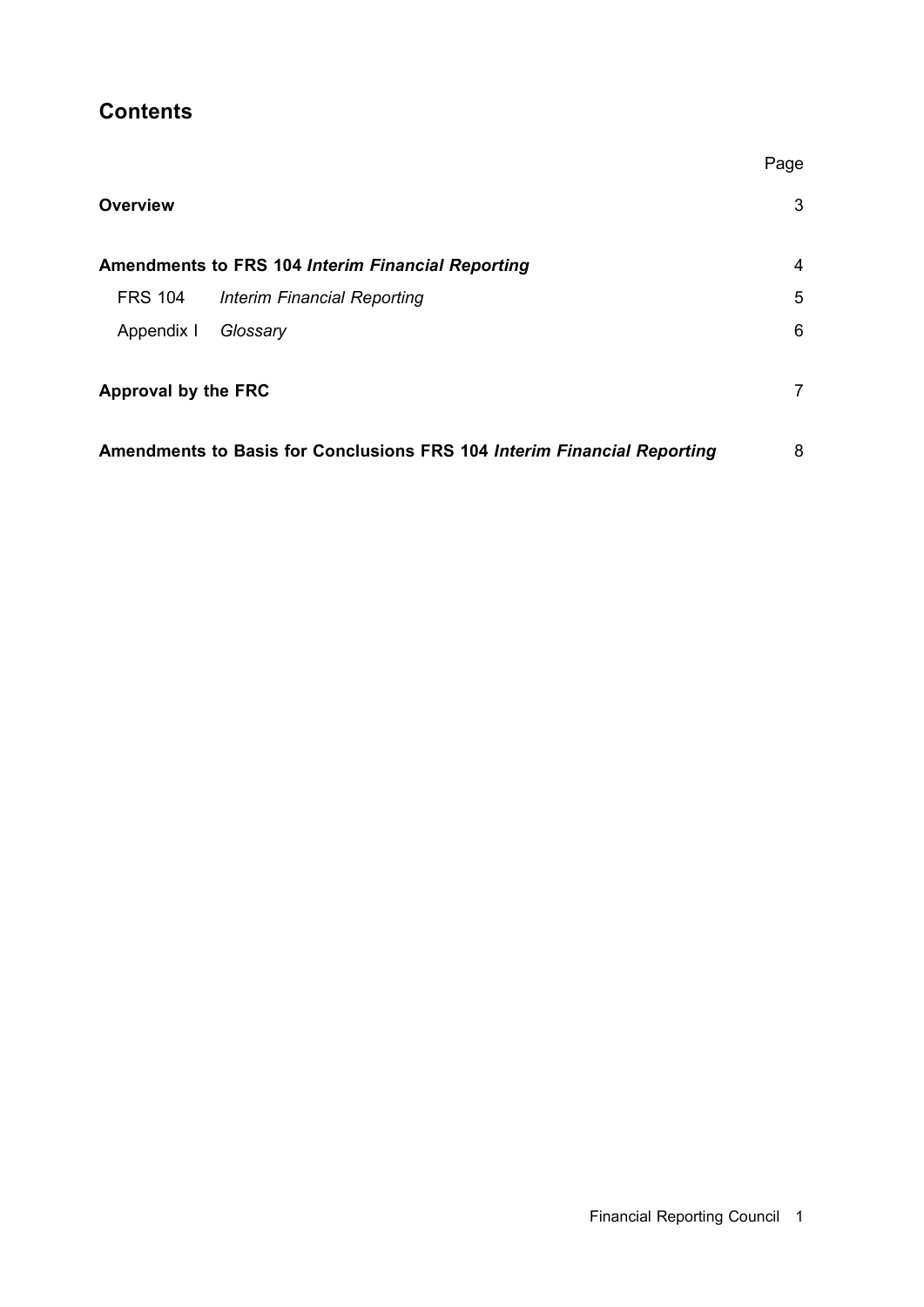## **Contents**

|                     |                                                                         | Page           |
|---------------------|-------------------------------------------------------------------------|----------------|
| <b>Overview</b>     |                                                                         |                |
|                     | <b>Amendments to FRS 104 Interim Financial Reporting</b>                | $\overline{4}$ |
|                     | FRS 104 Interim Financial Reporting                                     | 5              |
| Appendix I          | Glossary                                                                | 6              |
| Approval by the FRC |                                                                         |                |
|                     | Amendments to Basis for Conclusions FRS 104 Interim Financial Reporting | 8              |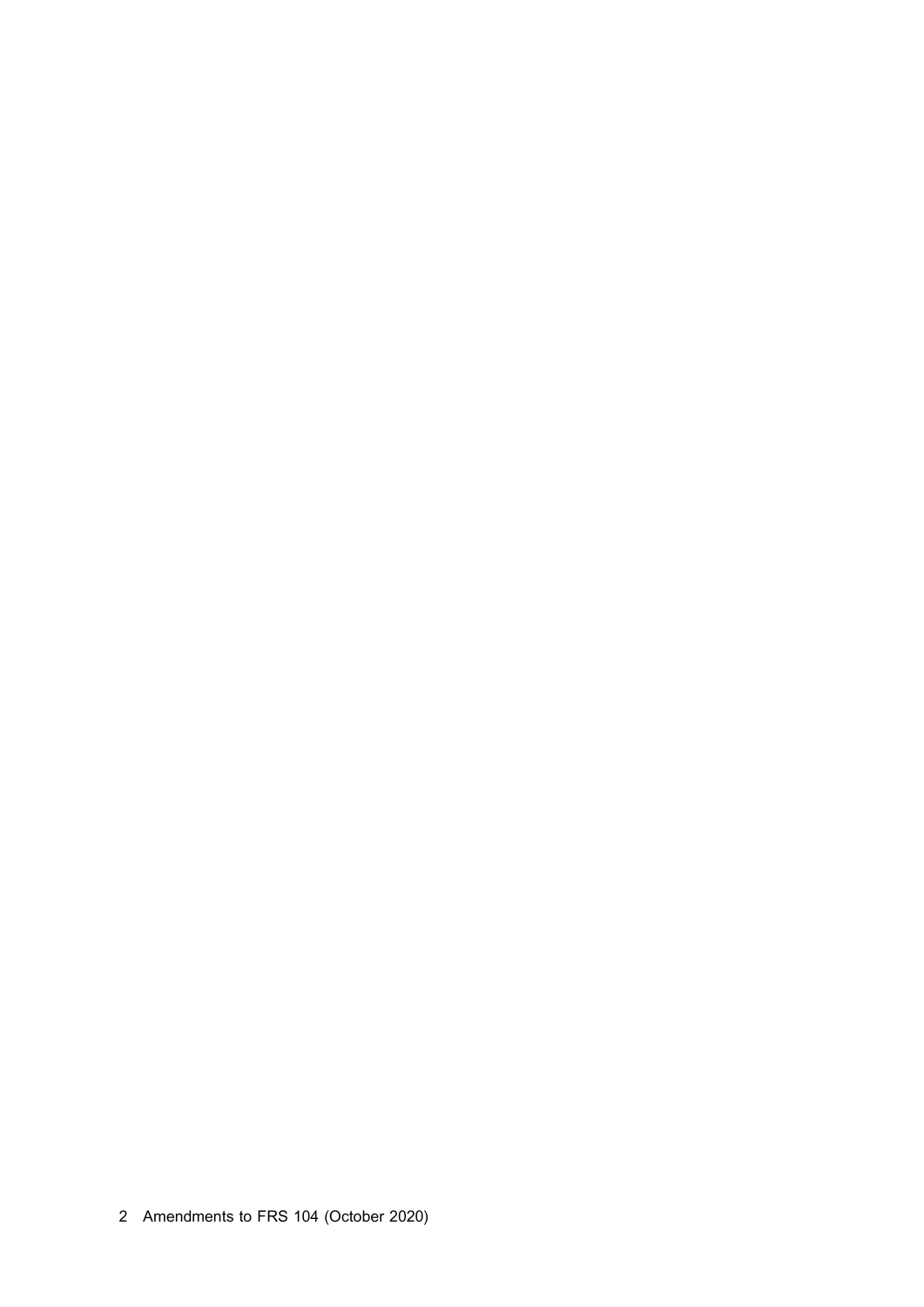2 Amendments to FRS 104 (October 2020)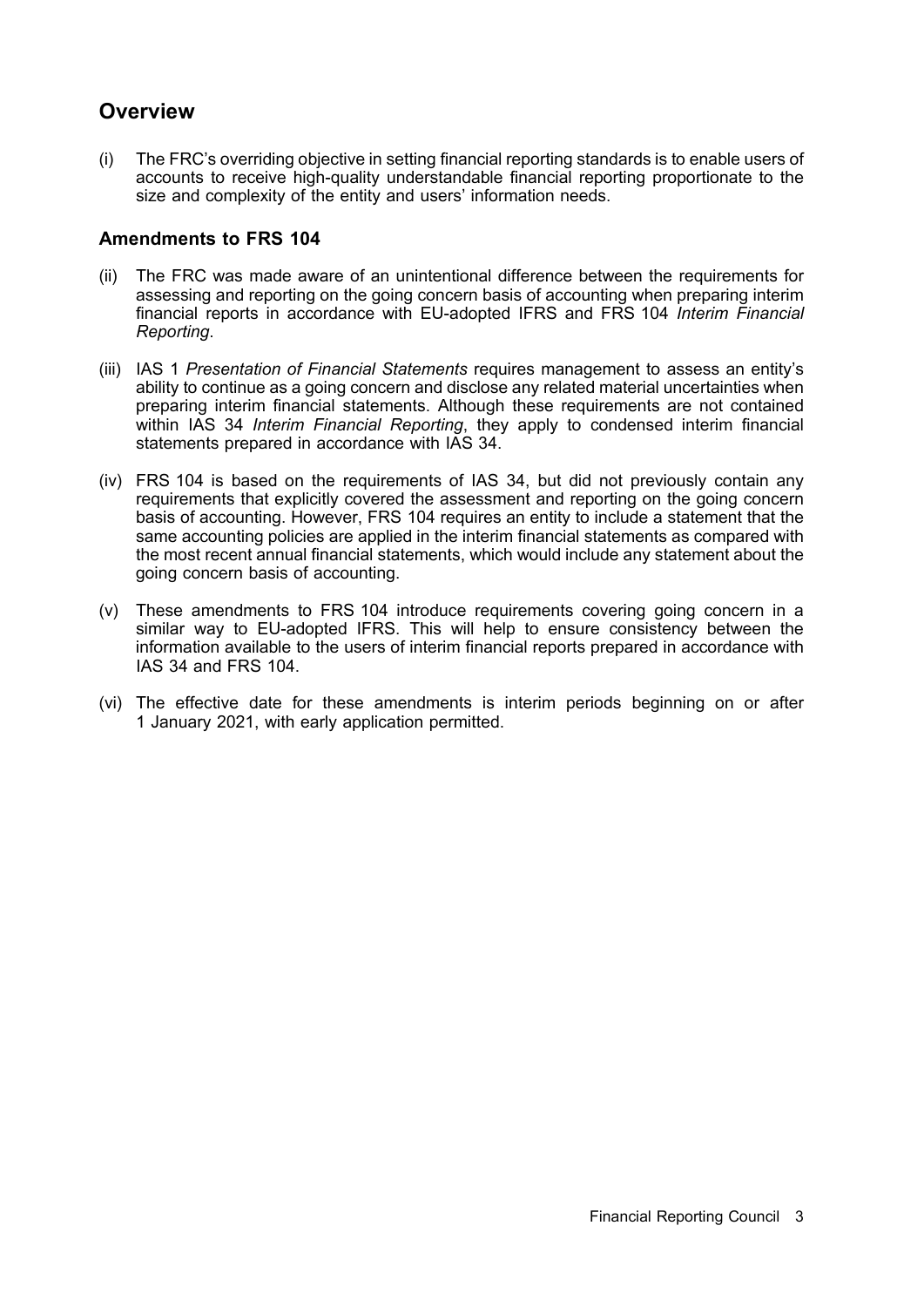### **Overview**

(i) The FRC's overriding objective in setting financial reporting standards is to enable users of accounts to receive high-quality understandable financial reporting proportionate to the size and complexity of the entity and users' information needs.

#### Amendments to FRS 104

- (ii) The FRC was made aware of an unintentional difference between the requirements for assessing and reporting on the going concern basis of accounting when preparing interim financial reports in accordance with EU-adopted IFRS and FRS 104 Interim Financial Reporting.
- (iii) IAS 1 Presentation of Financial Statements requires management to assess an entity's ability to continue as a going concern and disclose any related material uncertainties when preparing interim financial statements. Although these requirements are not contained within IAS 34 Interim Financial Reporting, they apply to condensed interim financial statements prepared in accordance with IAS 34.
- (iv) FRS 104 is based on the requirements of IAS 34, but did not previously contain any requirements that explicitly covered the assessment and reporting on the going concern basis of accounting. However, FRS 104 requires an entity to include a statement that the same accounting policies are applied in the interim financial statements as compared with the most recent annual financial statements, which would include any statement about the going concern basis of accounting.
- (v) These amendments to FRS 104 introduce requirements covering going concern in a similar way to EU-adopted IFRS. This will help to ensure consistency between the information available to the users of interim financial reports prepared in accordance with IAS 34 and FRS 104.
- (vi) The effective date for these amendments is interim periods beginning on or after 1 January 2021, with early application permitted.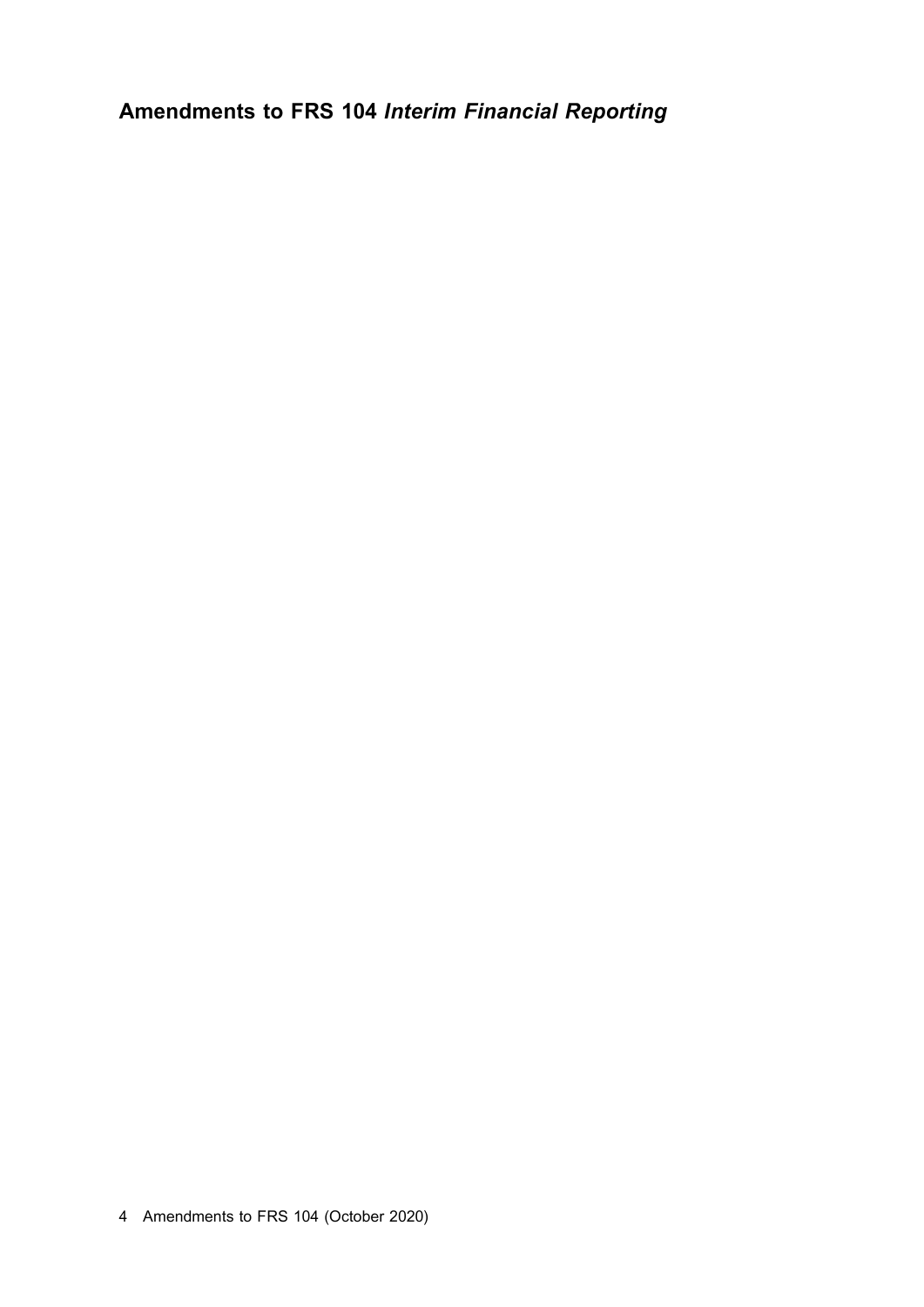Amendments to FRS 104 Interim Financial Reporting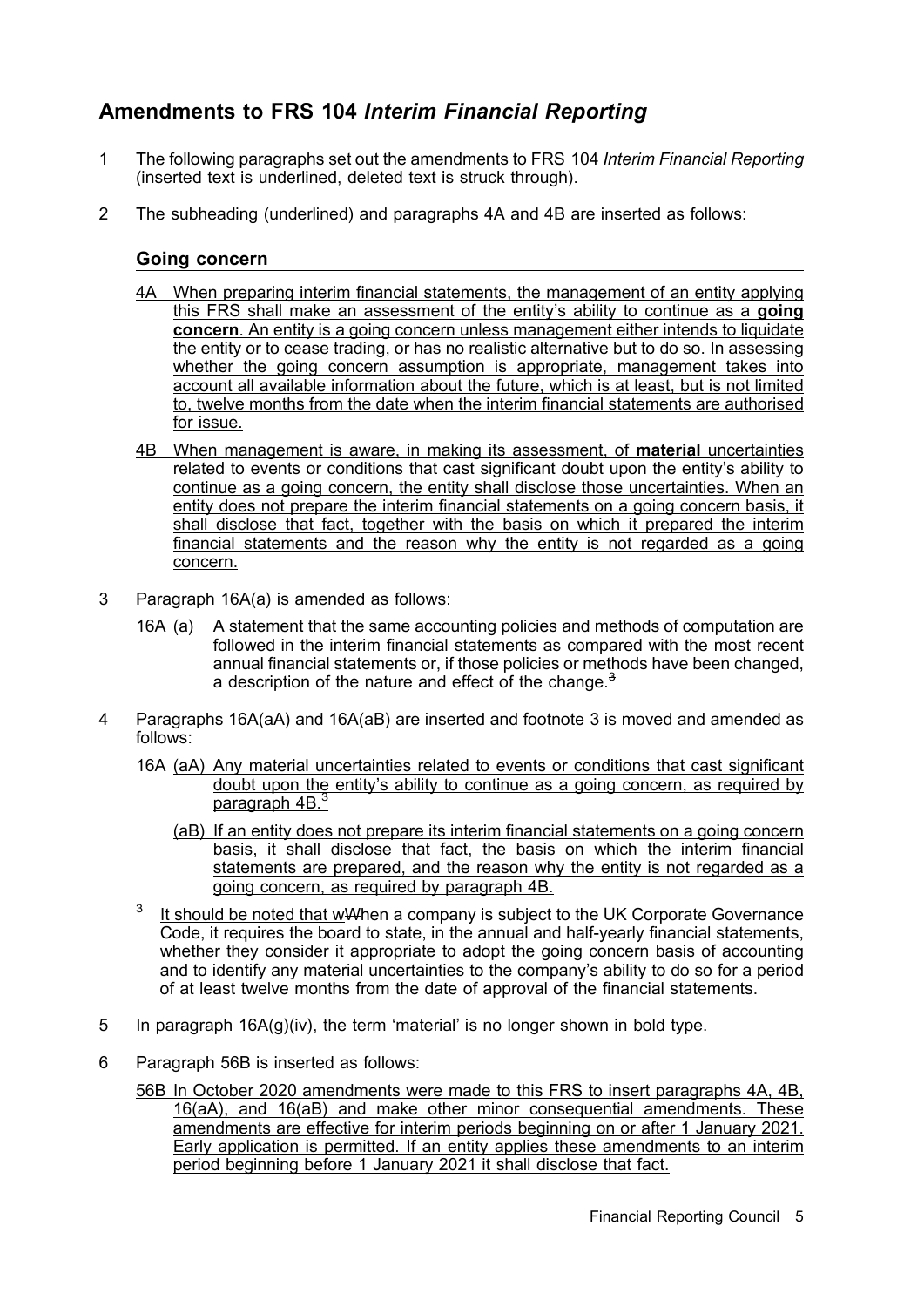## Amendments to FRS 104 Interim Financial Reporting

- 1 The following paragraphs set out the amendments to FRS 104 Interim Financial Reporting (inserted text is underlined, deleted text is struck through).
- 2 The subheading (underlined) and paragraphs 4A and 4B are inserted as follows:

#### Going concern

- 4A When preparing interim financial statements, the management of an entity applying this FRS shall make an assessment of the entity's ability to continue as a going concern. An entity is a going concern unless management either intends to liquidate the entity or to cease trading, or has no realistic alternative but to do so. In assessing whether the going concern assumption is appropriate, management takes into account all available information about the future, which is at least, but is not limited to, twelve months from the date when the interim financial statements are authorised for issue.
- 4B When management is aware, in making its assessment, of material uncertainties related to events or conditions that cast significant doubt upon the entity's ability to continue as a going concern, the entity shall disclose those uncertainties. When an entity does not prepare the interim financial statements on a going concern basis, it shall disclose that fact, together with the basis on which it prepared the interim financial statements and the reason why the entity is not regarded as a going concern.
- 3 Paragraph 16A(a) is amended as follows:
	- 16A (a) A statement that the same accounting policies and methods of computation are followed in the interim financial statements as compared with the most recent annual financial statements or, if those policies or methods have been changed, a description of the nature and effect of the change. $3$
- 4 Paragraphs 16A(aA) and 16A(aB) are inserted and footnote 3 is moved and amended as follows:
	- 16A (aA) Any material uncertainties related to events or conditions that cast significant doubt upon the entity's ability to continue as a going concern, as required by paragraph 4B.<sup>3</sup>
		- (aB) If an entity does not prepare its interim financial statements on a going concern basis, it shall disclose that fact, the basis on which the interim financial statements are prepared, and the reason why the entity is not regarded as a going concern, as required by paragraph 4B.
	- $3$  It should be noted that wWhen a company is subject to the UK Corporate Governance Code, it requires the board to state, in the annual and half-yearly financial statements, whether they consider it appropriate to adopt the going concern basis of accounting and to identify any material uncertainties to the company's ability to do so for a period of at least twelve months from the date of approval of the financial statements.
- 5 In paragraph  $16A(g)(iv)$ , the term 'material' is no longer shown in bold type.
- 6 Paragraph 56B is inserted as follows:
	- 56B In October 2020 amendments were made to this FRS to insert paragraphs 4A, 4B, 16(aA), and 16(aB) and make other minor consequential amendments. These amendments are effective for interim periods beginning on or after 1 January 2021. Early application is permitted. If an entity applies these amendments to an interim period beginning before 1 January 2021 it shall disclose that fact.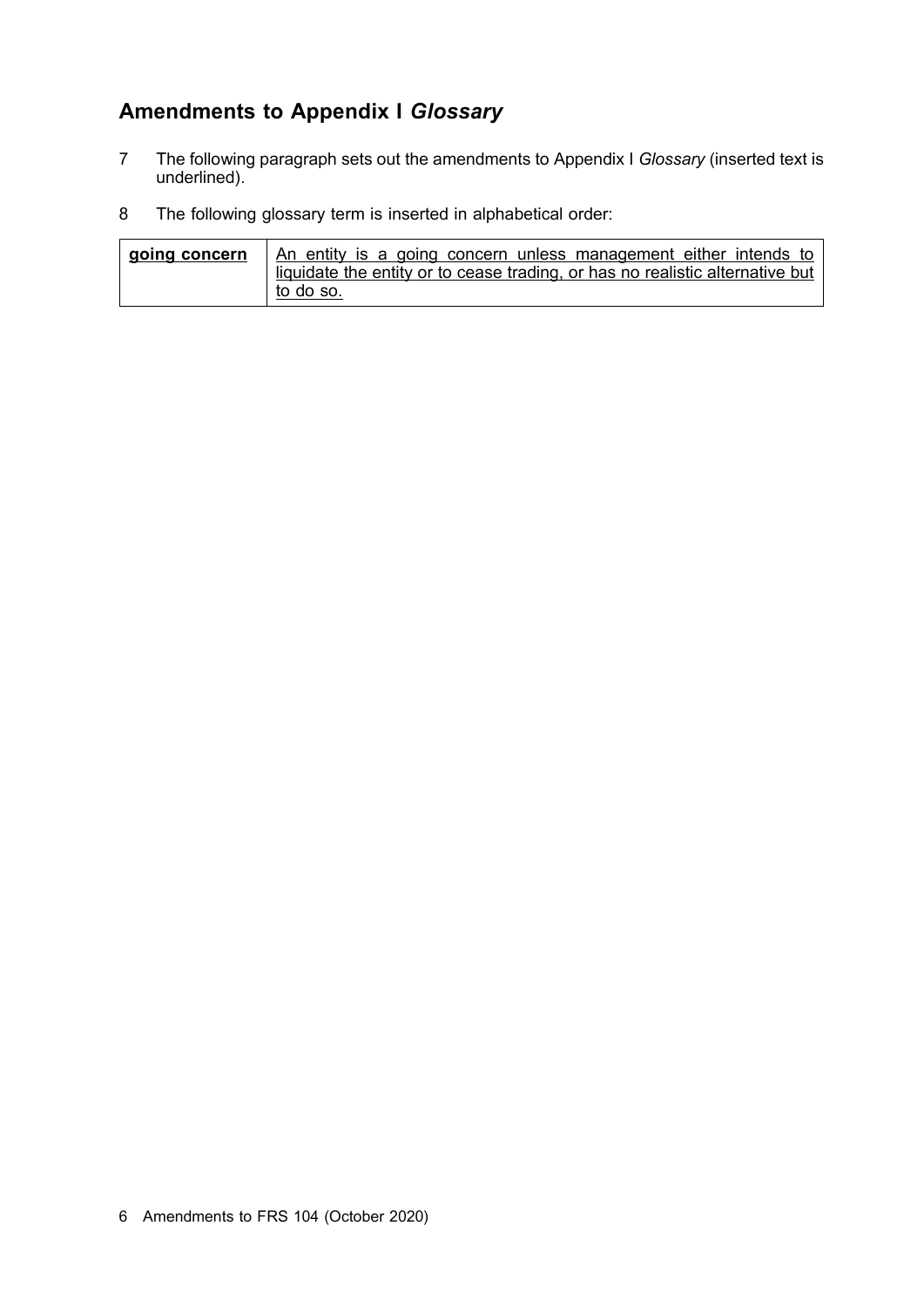## Amendments to Appendix I Glossary

- 7 The following paragraph sets out the amendments to Appendix I Glossary (inserted text is underlined).
- 8 The following glossary term is inserted in alphabetical order:

| <u>going concern</u> | An entity is a going concern unless management either intends to              |
|----------------------|-------------------------------------------------------------------------------|
|                      | liquidate the entity or to cease trading, or has no realistic alternative but |
|                      | to do so.                                                                     |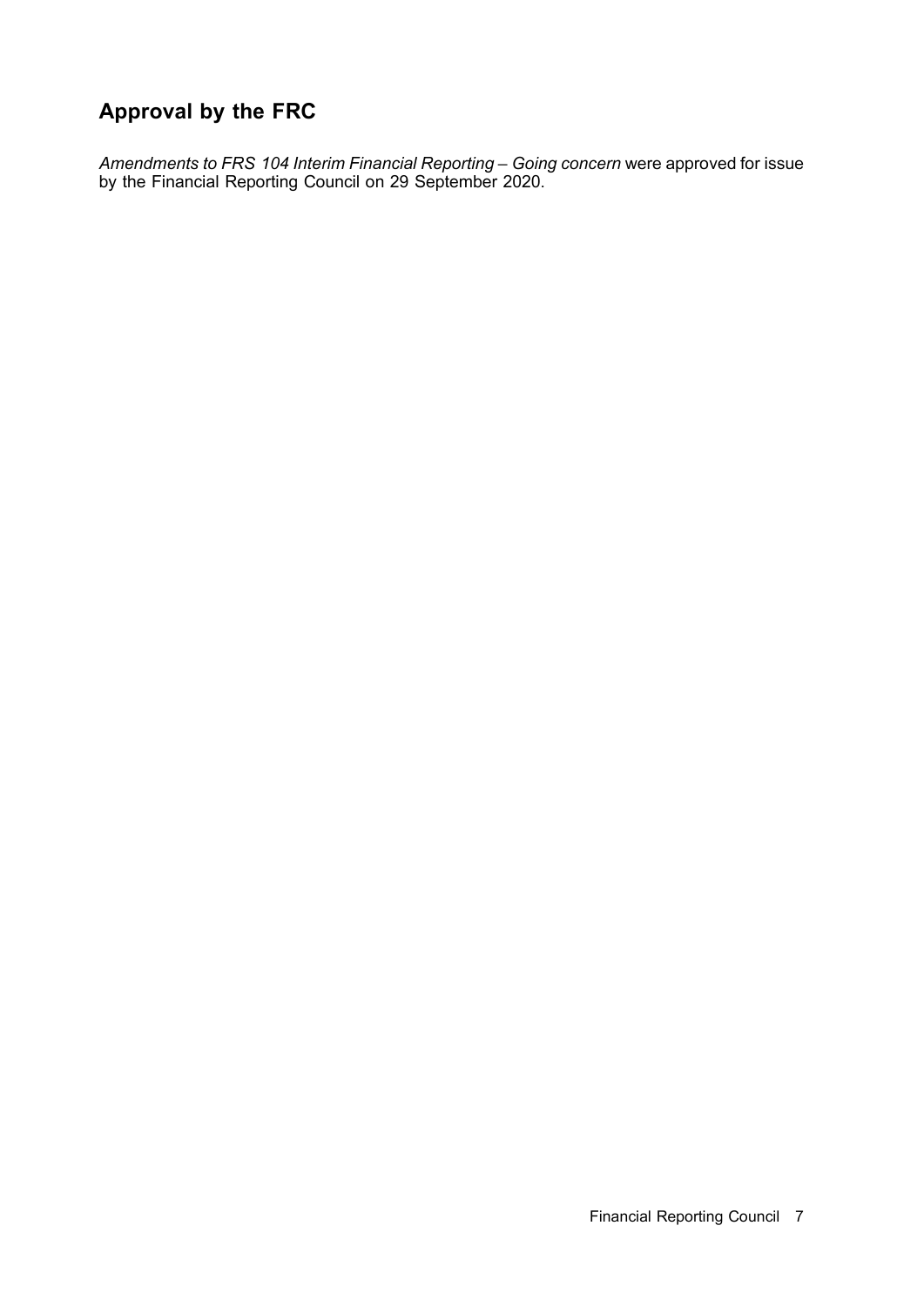## Approval by the FRC

Amendments to FRS 104 Interim Financial Reporting – Going concern were approved for issue by the Financial Reporting Council on 29 September 2020.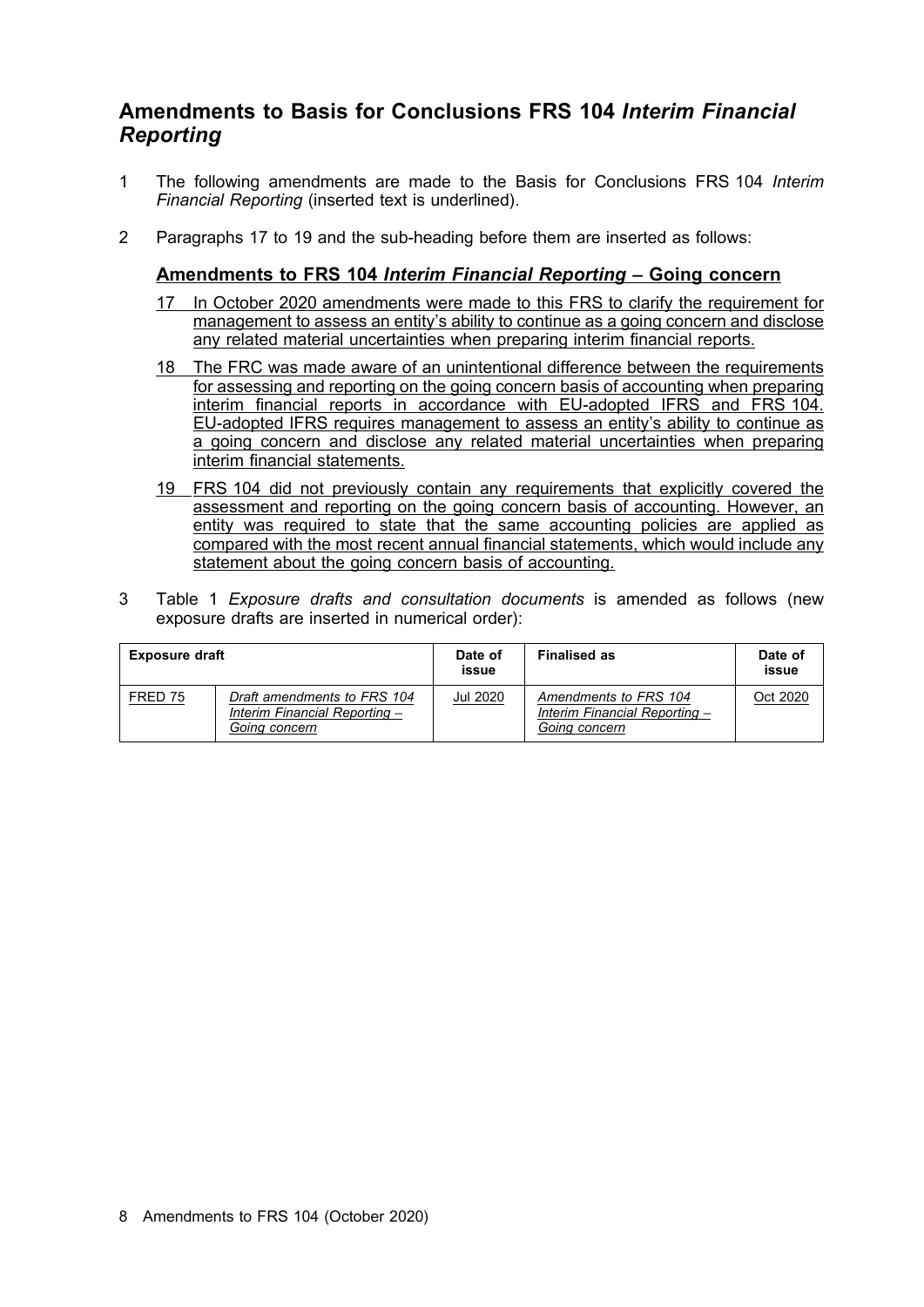### Amendments to Basis for Conclusions FRS 104 Interim Financial Reporting

- 1 The following amendments are made to the Basis for Conclusions FRS 104 Interim Financial Reporting (inserted text is underlined).
- 2 Paragraphs 17 to 19 and the sub-heading before them are inserted as follows:

#### Amendments to FRS 104 Interim Financial Reporting – Going concern

- 17 In October 2020 amendments were made to this FRS to clarify the requirement for management to assess an entity's ability to continue as a going concern and disclose any related material uncertainties when preparing interim financial reports.
- 18 The FRC was made aware of an unintentional difference between the requirements for assessing and reporting on the going concern basis of accounting when preparing interim financial reports in accordance with EU-adopted IFRS and FRS 104. EU-adopted IFRS requires management to assess an entity's ability to continue as a going concern and disclose any related material uncertainties when preparing interim financial statements.
- 19 FRS 104 did not previously contain any requirements that explicitly covered the assessment and reporting on the going concern basis of accounting. However, an entity was required to state that the same accounting policies are applied as compared with the most recent annual financial statements, which would include any statement about the going concern basis of accounting.
- 3 Table 1 Exposure drafts and consultation documents is amended as follows (new exposure drafts are inserted in numerical order):

| <b>Exposure draft</b> |                                                                               | Date of<br>issue | <b>Finalised as</b>                                                     | Date of<br>issue |
|-----------------------|-------------------------------------------------------------------------------|------------------|-------------------------------------------------------------------------|------------------|
| FRED 75               | Draft amendments to FRS 104<br>Interim Financial Reporting -<br>Going concern | Jul 2020         | Amendments to FRS 104<br>Interim Financial Reporting -<br>Going concern | Oct 2020         |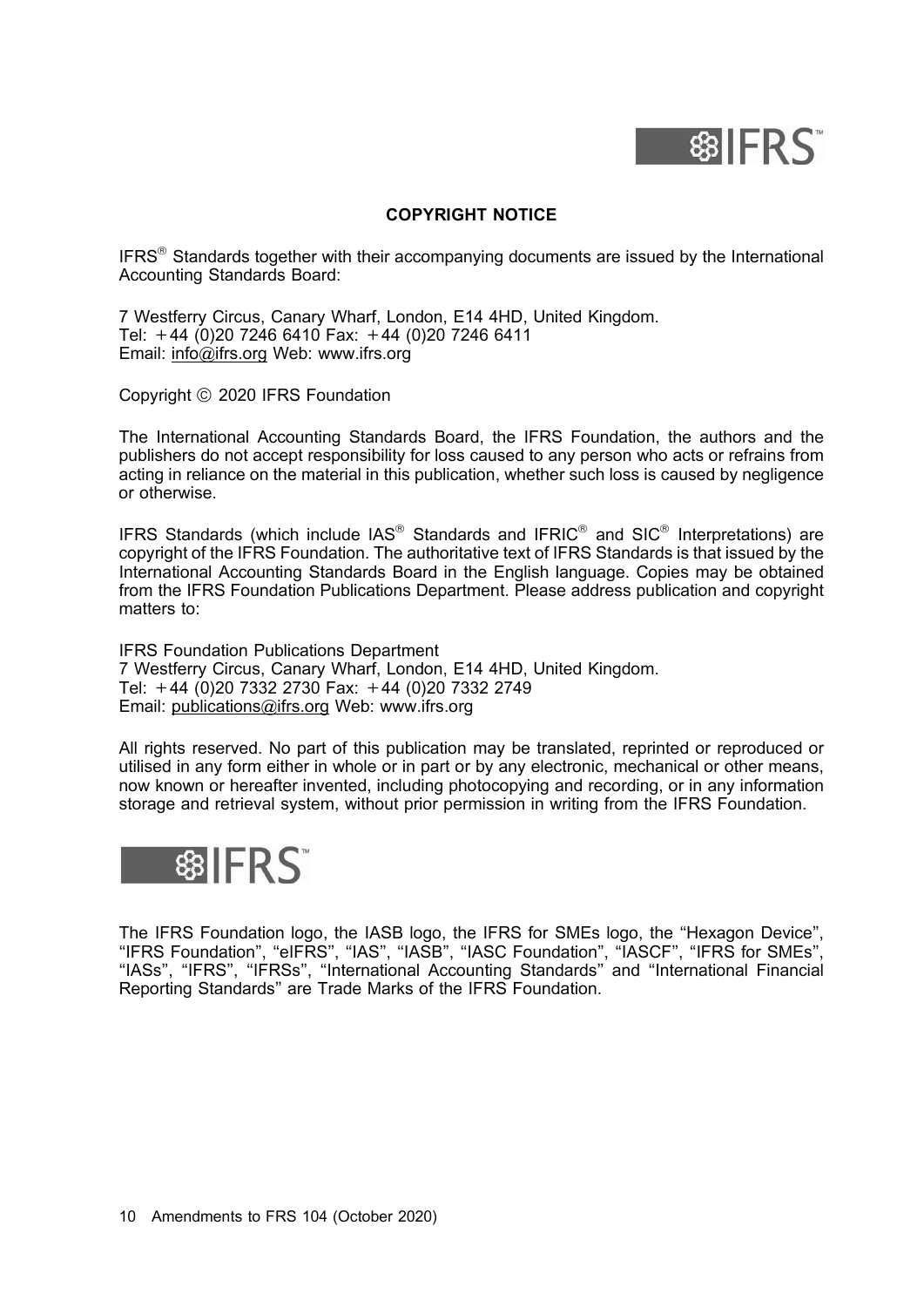

#### COPYRIGHT NOTICE

IFRS $^{\circ}$  Standards together with their accompanying documents are issued by the International Accounting Standards Board:

7 Westferry Circus, Canary Wharf, London, E14 4HD, United Kingdom. Tel: +44 (0)20 7246 6410 Fax: +44 (0)20 7246 6411 Email: info@ifrs.org Web: www.ifrs.org

Copyright © 2020 IFRS Foundation

The International Accounting Standards Board, the IFRS Foundation, the authors and the publishers do not accept responsibility for loss caused to any person who acts or refrains from acting in reliance on the material in this publication, whether such loss is caused by negligence or otherwise.

IFRS Standards (which include IAS<sup>®</sup> Standards and IFRIC<sup>®</sup> and SIC<sup>®</sup> Interpretations) are copyright of the IFRS Foundation. The authoritative text of IFRS Standards is that issued by the International Accounting Standards Board in the English language. Copies may be obtained from the IFRS Foundation Publications Department. Please address publication and copyright matters to:

IFRS Foundation Publications Department 7 Westferry Circus, Canary Wharf, London, E14 4HD, United Kingdom. Tel: +44 (0)20 7332 2730 Fax: +44 (0)20 7332 2749 Email: publications@ifrs.org Web: www.ifrs.org

All rights reserved. No part of this publication may be translated, reprinted or reproduced or utilised in any form either in whole or in part or by any electronic, mechanical or other means, now known or hereafter invented, including photocopying and recording, or in any information storage and retrieval system, without prior permission in writing from the IFRS Foundation.



The IFRS Foundation logo, the IASB logo, the IFRS for SMEs logo, the ''Hexagon Device'', "IFRS Foundation", "eIFRS", "IAS", "IASB", "IASC Foundation", "IASCF", "IFRS for SMEs", ''IASs'', ''IFRS'', ''IFRSs'', ''International Accounting Standards'' and ''International Financial Reporting Standards'' are Trade Marks of the IFRS Foundation.